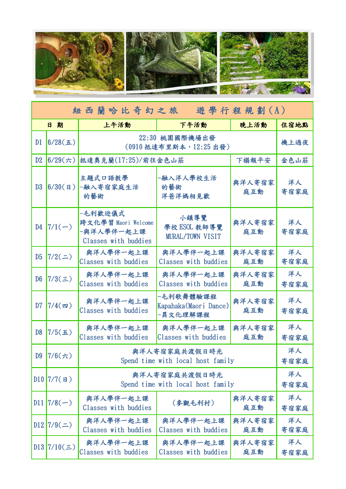

| 紐西蘭哈比奇幻之旅 遊學行程規劃(A) |                  |                                                                      |                                                |               |            |  |  |
|---------------------|------------------|----------------------------------------------------------------------|------------------------------------------------|---------------|------------|--|--|
|                     | 日期               | 上午活動                                                                 | 下午活動                                           | 晚上活動          | 住宿地點       |  |  |
| D1                  | 6/28( <b>1</b> ) | 22:30 桃園國際機場出發<br>(0910 抵達布里斯本, 12:25 出發)                            | 機上過夜                                           |               |            |  |  |
| D2                  | $6/29$ (六)       | 抵達奧克蘭(17:25)/前往金色山莊                                                  | 下榻報平安                                          | 金色山莊          |            |  |  |
| D3                  | $6/30($ B)       | 主題式口語教學<br>-融入寄宿家庭生活<br>的藝術                                          | -融入洋人學校生活<br>的藝術<br>洋爸洋媽相見歡                    | 與洋人寄宿家<br>庭互動 | 洋人<br>寄宿家庭 |  |  |
| D4                  | $7/1(-)$         | -毛利歡迎儀式<br>跨文化學習 Maori Welcome<br>-與洋人學伴一起上課<br>Classes with buddies | 小鎮導覽<br>學校 ESOL 教師導覽<br>MURAL/TOWN VISIT       | 與洋人寄宿家<br>庭互動 | 洋人<br>寄宿家庭 |  |  |
| D <sub>5</sub>      | 7/2(             | 與洋人學伴一起上課<br>Classes with buddies                                    | 與洋人學伴一起上課<br>Classes with buddies              | 與洋人寄宿家<br>庭互動 | 洋人<br>寄宿家庭 |  |  |
| D <sub>6</sub>      | $7/3(\equiv)$    | 與洋人學伴一起上課<br>Classes with buddies                                    | 與洋人學伴一起上課<br>Classes with buddies              | 與洋人寄宿家<br>庭互動 | 洋人<br>寄宿家庭 |  |  |
| D7                  | $7/4($ 四)        | 與洋人學伴一起上課<br>Classes with buddies                                    | -毛利歌舞體驗課程<br>Kapahaka(Maori Dance)<br>-異文化理解課程 | 與洋人寄宿家<br>庭互動 | 洋人<br>寄宿家庭 |  |  |
| D <sub>8</sub>      | $7/5(\pm)$       | 與洋人學伴一起上課<br>Classes with buddies                                    | 與洋人學伴一起上課<br>Classes with buddies              | 與洋人寄宿家<br>庭互動 | 洋人<br>寄宿家庭 |  |  |
| D <sub>9</sub>      | $7/6$ (六)        | 與洋人寄宿家庭共渡假日時光<br>Spend time with local host family                   | 洋人<br>寄宿家庭                                     |               |            |  |  |
|                     | $D10$ 7/7(日)     | 與洋人寄宿家庭共渡假日時光<br>Spend time with local host family                   | 洋人<br>寄宿家庭                                     |               |            |  |  |
| D11                 | $7/8(-)$         | 與洋人學伴一起上課<br>Classes with buddies                                    | (參觀毛利村)                                        | 與洋人寄宿家<br>庭互動 | 洋人<br>寄宿家庭 |  |  |
| D12                 | $7/9($ = $)$     | 與洋人學伴一起上課<br>Classes with buddies                                    | 與洋人學伴一起上課<br>Classes with buddies              | 與洋人寄宿家<br>庭互動 | 洋人<br>寄宿家庭 |  |  |
|                     | $D13$ 7/10(三)    | 與洋人學伴一起上課<br>Classes with buddies                                    | 與洋人學伴一起上課<br>Classes with buddies              | 與洋人寄宿家<br>庭互動 | 洋人<br>寄宿家庭 |  |  |